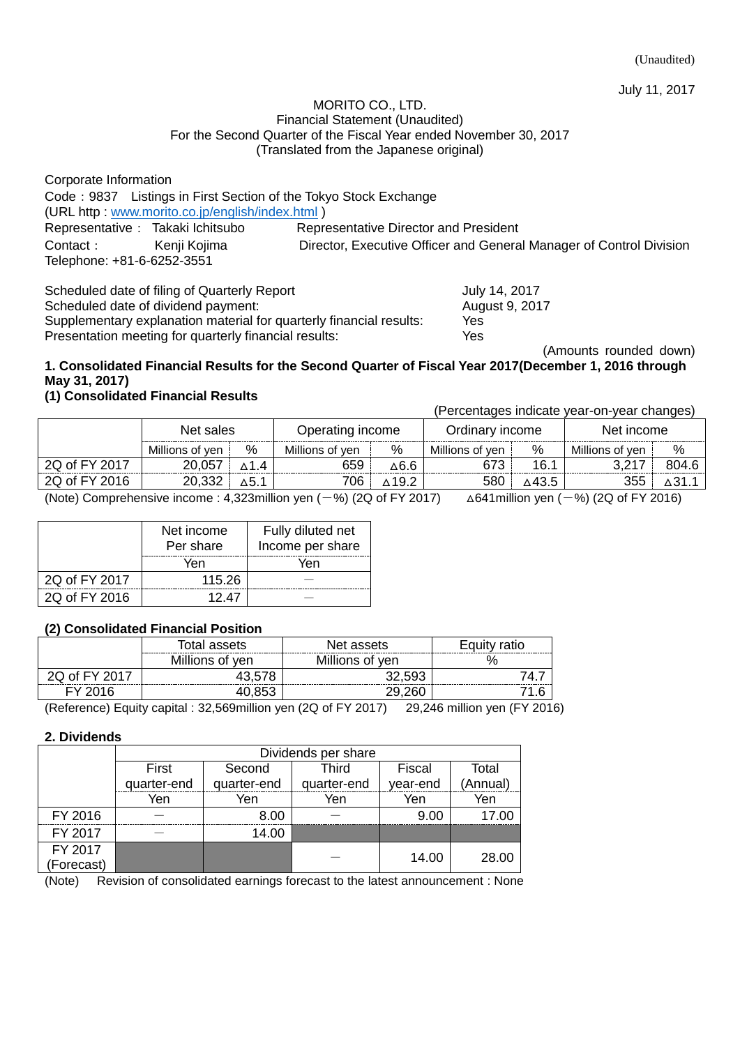#### MORITO CO., LTD. Financial Statement (Unaudited) For the Second Quarter of the Fiscal Year ended November 30, 2017 (Translated from the Japanese original)

Corporate Information Code:9837 Listings in First Section of the Tokyo Stock Exchange (URL http : [www.morito.co.jp/english/index.html](http://www.morito.co.jp/english/index.html) ) Representative: Takaki Ichitsubo Representative Director and President Contact: Kenji Kojima Director, Executive Officer and General Manager of Control Division Telephone: +81-6-6252-3551

Scheduled date of filing of Quarterly Report<br>Scheduled date of dividend payment: <br>August 9, 2017 Scheduled date of dividend payment: Supplementary explanation material for quarterly financial results: Yes Presentation meeting for quarterly financial results: Yes

(Amounts rounded down)

## **1. Consolidated Financial Results for the Second Quarter of Fiscal Year 2017(December 1, 2016 through May 31, 2017)**

## **(1) Consolidated Financial Results**

(Percentages indicate year-on-year changes)

|               | Net sales                                                                                                                                                  |              | Operating income |              | Ordinary income |       | Net income      |       |
|---------------|------------------------------------------------------------------------------------------------------------------------------------------------------------|--------------|------------------|--------------|-----------------|-------|-----------------|-------|
|               | Millions of yen                                                                                                                                            | %            | Millions of ven  | %            | Millions of ven | %     | Millions of ven | %     |
| 2Q of FY 2017 | 20,057                                                                                                                                                     | ∧1.4         | 659              | ∆6.6         |                 | 16.1  | ? 217           | 804.6 |
| 2Q of FY 2016 | 20,332                                                                                                                                                     | $\Delta$ 5.1 | 706              | $\wedge$ 192 | 580             | ∆43.5 | 355             |       |
|               | (Note) Comprehensive income : $\lambda$ 222million van ( $\lambda$ 0/) (20 of EV 2017)<br>$(644 \text{ million} \times 2)$ $(0)$ $(20 \text{ of EV 2015})$ |              |                  |              |                 |       |                 |       |

(Note) Comprehensive income : 4,323million yen  $(-%)$  (2Q of FY 2017)  $\Delta 641$  million yen  $(-%)$  (2Q of FY 2016)

|               | Net income<br>Per share | Fully diluted net<br>Income per share |
|---------------|-------------------------|---------------------------------------|
|               | Yen                     | Yen                                   |
| 2Q of FY 2017 | 115.26                  |                                       |
| 2Q of FY 2016 | 1247                    |                                       |

## **(2) Consolidated Financial Position**

|                     | Total assets    | Net assets      | Eauitv<br>ratio |  |
|---------------------|-----------------|-----------------|-----------------|--|
|                     | Millions of yen | Millions of yen |                 |  |
| 2Q of FY 201        |                 | $-32.50^\circ$  |                 |  |
| Y 2016 <sup>.</sup> |                 | חבר חר          |                 |  |

(Reference) Equity capital : 32,569million yen (2Q of FY 2017) 29,246 million yen (FY 2016)

#### **2. Dividends**

|            | Dividends per share |             |             |          |          |  |
|------------|---------------------|-------------|-------------|----------|----------|--|
|            | First               | Second      | Third       | Fiscal   | Total    |  |
|            | quarter-end         | quarter-end | quarter-end | year-end | (Annual) |  |
|            | Yen                 | Yen         | Yen         | Yen      | Yen      |  |
| FY 2016    |                     | 8.00        |             | 9.00     | 17.00    |  |
| FY 2017    |                     | 14.00       |             |          |          |  |
| FY 2017    |                     |             |             | 14.00    | 28.00    |  |
| (Forecast) |                     |             |             |          |          |  |

(Note) Revision of consolidated earnings forecast to the latest announcement : None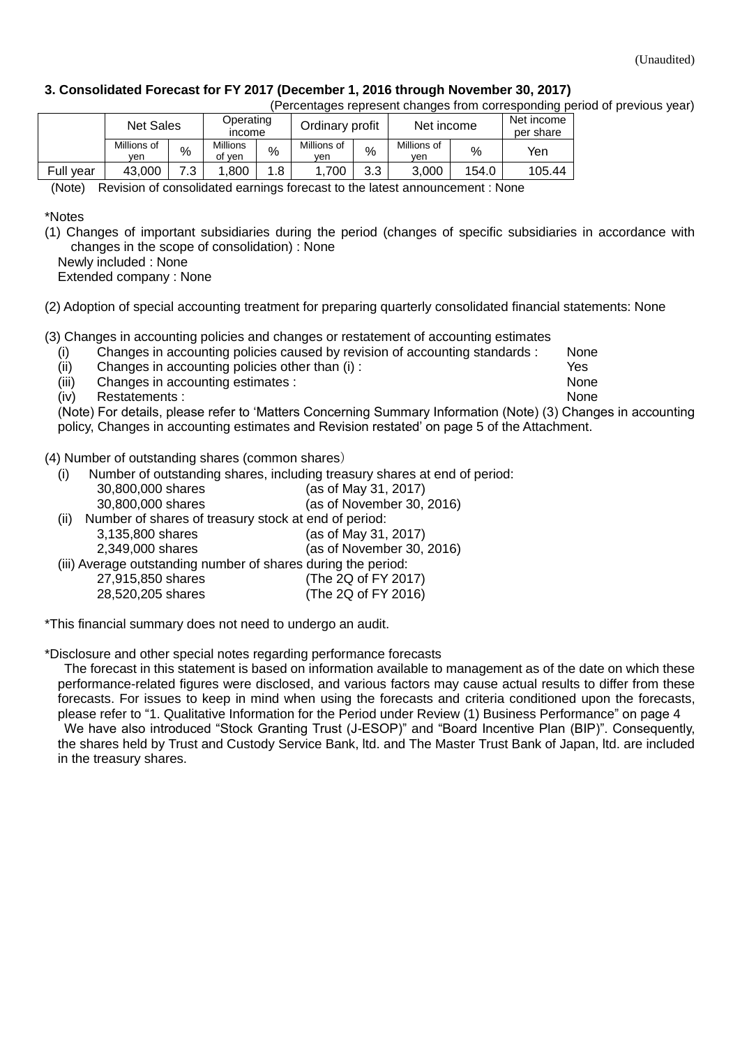#### **3. Consolidated Forecast for FY 2017 (December 1, 2016 through November 30, 2017)**

| (Percentages represent changes from corresponding period of previous year) |  |  |  |  |
|----------------------------------------------------------------------------|--|--|--|--|
|                                                                            |  |  |  |  |

|           | <b>Net Sales</b>   |      | Operating<br>income       |      | Ordinary profit    |            | Net income         |       | Net income<br>per share |
|-----------|--------------------|------|---------------------------|------|--------------------|------------|--------------------|-------|-------------------------|
|           | Millions of<br>ven | $\%$ | <b>Millions</b><br>of ven | $\%$ | Millions of<br>ven | %          | Millions of<br>ven | $\%$  | Yen                     |
| Full year | 43.000             |      | .800                      | .8   | .700               | າ າ<br>ں.ں | 3.000              | 154.0 | 105.44                  |

(Note) Revision of consolidated earnings forecast to the latest announcement : None

\*Notes

(1) Changes of important subsidiaries during the period (changes of specific subsidiaries in accordance with changes in the scope of consolidation) : None

Newly included : None

Extended company : None

(2) Adoption of special accounting treatment for preparing quarterly consolidated financial statements: None

(3) Changes in accounting policies and changes or restatement of accounting estimates

(i) Changes in accounting policies caused by revision of accounting standards : None

(ii) Changes in accounting policies other than (i) : Yes

(iii) Changes in accounting estimates : None

(iv) Restatements : None

(Note) For details, please refer to 'Matters Concerning Summary Information (Note) (3) Changes in accounting policy, Changes in accounting estimates and Revision restated' on page 5 of the Attachment.

(4) Number of outstanding shares (common shares)

(i) Number of outstanding shares, including treasury shares at end of period: 30,800,000 shares (as of May 31, 2017) 30,800,000 shares (as of November 30, 2016) (ii) Number of shares of treasury stock at end of period: 3,135,800 shares (as of May 31, 2017) 2,349,000 shares (as of November 30, 2016) (iii) Average outstanding number of shares during the period: 27,915,850 shares (The 2Q of FY 2017) 28,520,205 shares (The 2Q of FY 2016)

\*This financial summary does not need to undergo an audit.

\*Disclosure and other special notes regarding performance forecasts

The forecast in this statement is based on information available to management as of the date on which these performance-related figures were disclosed, and various factors may cause actual results to differ from these forecasts. For issues to keep in mind when using the forecasts and criteria conditioned upon the forecasts, please refer to ["1. Qualitative Information for the Period under](#page-3-0) Review [\(1\) Business Performance"](#page-3-1) on page 4 We have also introduced "Stock Granting Trust (J-ESOP)" and "Board Incentive Plan (BIP)". Consequently, the shares held by Trust and Custody Service Bank, ltd. and The Master Trust Bank of Japan, ltd. are included in the treasury shares.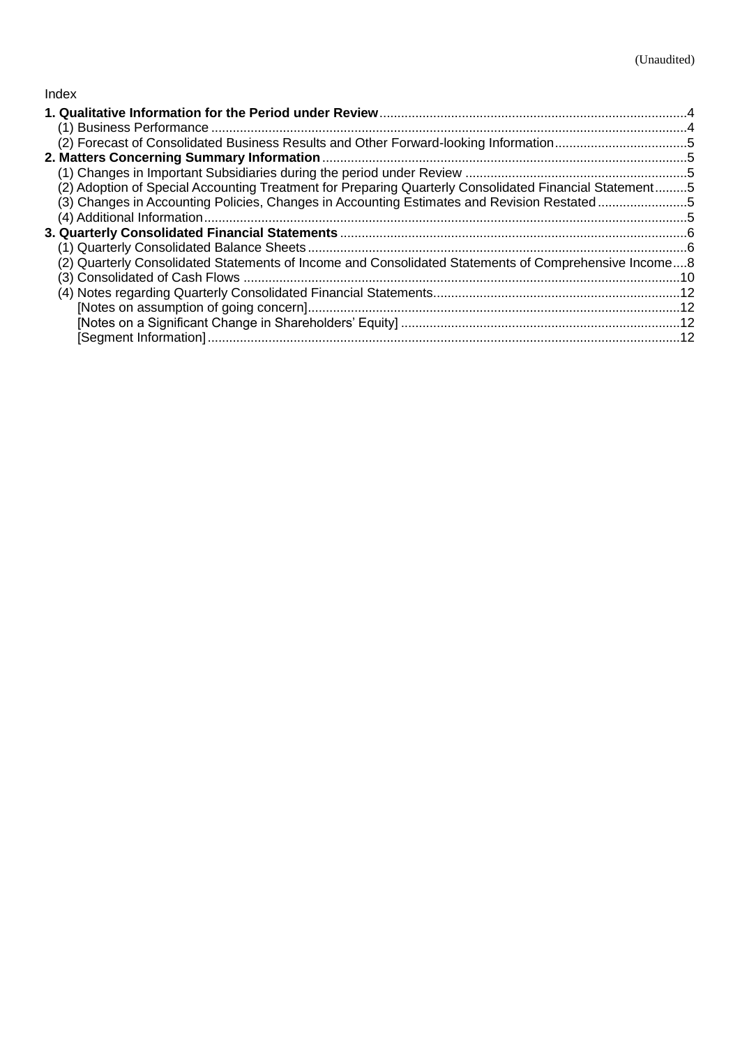## Index

| (2) Forecast of Consolidated Business Results and Other Forward-looking Information5                   |  |
|--------------------------------------------------------------------------------------------------------|--|
|                                                                                                        |  |
|                                                                                                        |  |
| (2) Adoption of Special Accounting Treatment for Preparing Quarterly Consolidated Financial Statement5 |  |
| (3) Changes in Accounting Policies, Changes in Accounting Estimates and Revision Restated5             |  |
|                                                                                                        |  |
|                                                                                                        |  |
|                                                                                                        |  |
| (2) Quarterly Consolidated Statements of Income and Consolidated Statements of Comprehensive Income8   |  |
|                                                                                                        |  |
|                                                                                                        |  |
|                                                                                                        |  |
|                                                                                                        |  |
|                                                                                                        |  |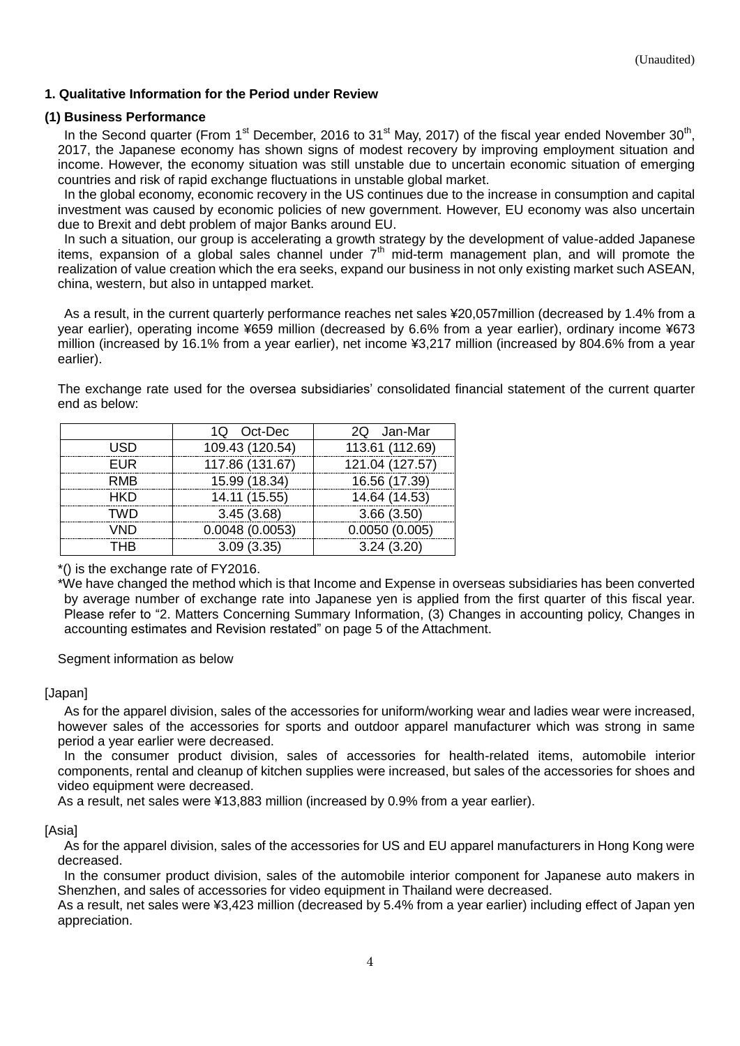## <span id="page-3-0"></span>**1. Qualitative Information for the Period under Review**

#### <span id="page-3-1"></span>**(1) Business Performance**

In the Second quarter (From 1<sup>st</sup> December, 2016 to 31<sup>st</sup> May, 2017) of the fiscal year ended November 30<sup>th</sup>, 2017, the Japanese economy has shown signs of modest recovery by improving employment situation and income. However, the economy situation was still unstable due to uncertain economic situation of emerging countries and risk of rapid exchange fluctuations in unstable global market.

In the global economy, economic recovery in the US continues due to the increase in consumption and capital investment was caused by economic policies of new government. However, EU economy was also uncertain due to Brexit and debt problem of major Banks around EU.

In such a situation, our group is accelerating a growth strategy by the development of value-added Japanese items, expansion of a global sales channel under  $7<sup>th</sup>$  mid-term management plan, and will promote the realization of value creation which the era seeks, expand our business in not only existing market such ASEAN, china, western, but also in untapped market.

As a result, in the current quarterly performance reaches net sales ¥20,057million (decreased by 1.4% from a year earlier), operating income ¥659 million (decreased by 6.6% from a year earlier), ordinary income ¥673 million (increased by 16.1% from a year earlier), net income ¥3,217 million (increased by 804.6% from a year earlier).

The exchange rate used for the oversea subsidiaries' consolidated financial statement of the current quarter end as below:

|            | 1Q Oct-Dec      | 2Q Jan-Mar      |
|------------|-----------------|-----------------|
| USD        | 109.43 (120.54) | 113.61 (112.69) |
| <b>EUR</b> | 117.86 (131.67) | 121.04 (127.57) |
| <b>RMB</b> | 15.99 (18.34)   | 16.56 (17.39)   |
| <b>HKD</b> | 14.11 (15.55)   | 14.64 (14.53)   |
| TWD        | 3.45(3.68)      | 3.66(3.50)      |
| VND        | 0.0048(0.0053)  | 0.0050(0.005)   |
| <b>THR</b> | 3.09(3.35)      | 3.24(3.20)      |

\*() is the exchange rate of FY2016.

\*We have changed the method which is that Income and Expense in overseas subsidiaries has been converted by average number of exchange rate into Japanese yen is applied from the first quarter of this fiscal year. Please refer to "2. Matters Concerning Summary Information, (3) Changes in accounting policy, Changes in accounting estimates and Revision restated" on page 5 of the Attachment.

Segment information as below

#### [Japan]

As for the apparel division, sales of the accessories for uniform/working wear and ladies wear were increased, however sales of the accessories for sports and outdoor apparel manufacturer which was strong in same period a year earlier were decreased.

In the consumer product division, sales of accessories for health-related items, automobile interior components, rental and cleanup of kitchen supplies were increased, but sales of the accessories for shoes and video equipment were decreased.

As a result, net sales were ¥13,883 million (increased by 0.9% from a year earlier).

#### [Asia]

As for the apparel division, sales of the accessories for US and EU apparel manufacturers in Hong Kong were decreased.

In the consumer product division, sales of the automobile interior component for Japanese auto makers in Shenzhen, and sales of accessories for video equipment in Thailand were decreased.

As a result, net sales were ¥3,423 million (decreased by 5.4% from a year earlier) including effect of Japan yen appreciation.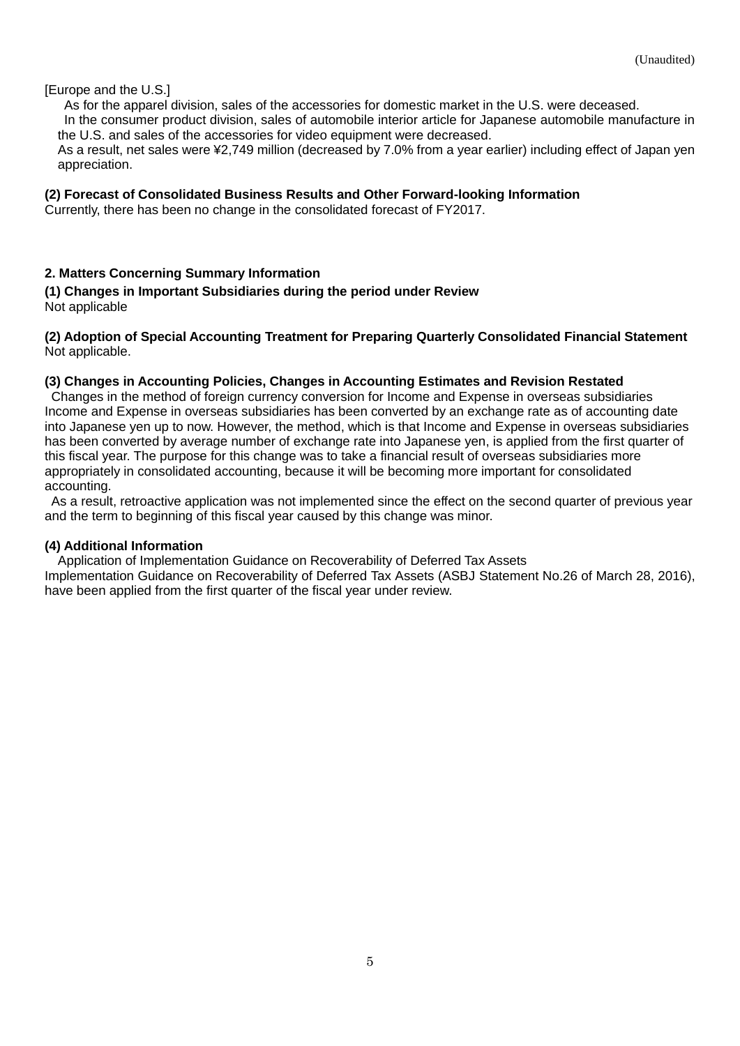[Europe and the U.S.]

As for the apparel division, sales of the accessories for domestic market in the U.S. were deceased.

In the consumer product division, sales of automobile interior article for Japanese automobile manufacture in the U.S. and sales of the accessories for video equipment were decreased.

As a result, net sales were ¥2,749 million (decreased by 7.0% from a year earlier) including effect of Japan yen appreciation.

## <span id="page-4-0"></span>**(2) Forecast of Consolidated Business Results and Other Forward-looking Information**

Currently, there has been no change in the consolidated forecast of FY2017.

## <span id="page-4-1"></span>**2. Matters Concerning Summary Information**

<span id="page-4-2"></span>**(1) Changes in Important Subsidiaries during the period under Review** Not applicable

#### <span id="page-4-3"></span>**(2) Adoption of Special Accounting Treatment for Preparing Quarterly Consolidated Financial Statement** Not applicable.

#### <span id="page-4-4"></span>**(3) Changes in Accounting Policies, Changes in Accounting Estimates and Revision Restated**

Changes in the method of foreign currency conversion for Income and Expense in overseas subsidiaries Income and Expense in overseas subsidiaries has been converted by an exchange rate as of accounting date into Japanese yen up to now. However, the method, which is that Income and Expense in overseas subsidiaries has been converted by average number of exchange rate into Japanese yen, is applied from the first quarter of this fiscal year. The purpose for this change was to take a financial result of overseas subsidiaries more appropriately in consolidated accounting, because it will be becoming more important for consolidated accounting.

As a result, retroactive application was not implemented since the effect on the second quarter of previous year and the term to beginning of this fiscal year caused by this change was minor.

## <span id="page-4-5"></span>**(4) Additional Information**

Application of Implementation Guidance on Recoverability of Deferred Tax Assets Implementation Guidance on Recoverability of Deferred Tax Assets (ASBJ Statement No.26 of March 28, 2016), have been applied from the first quarter of the fiscal year under review.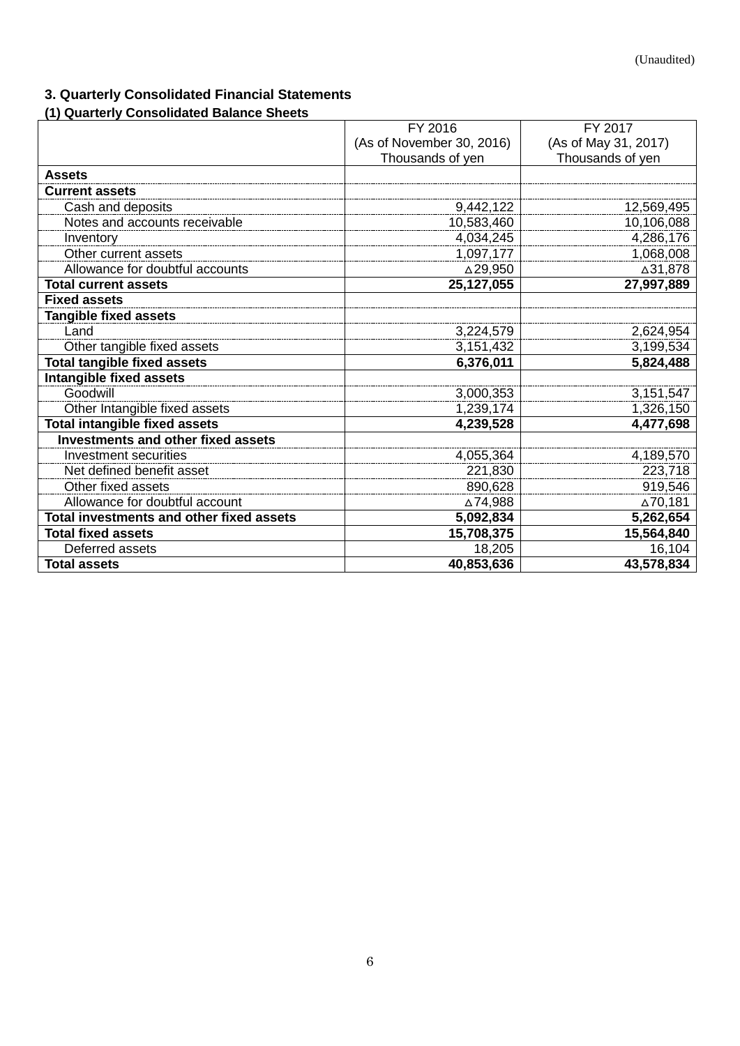# <span id="page-5-0"></span>**3. Quarterly Consolidated Financial Statements**

# <span id="page-5-1"></span>**(1) Quarterly Consolidated Balance Sheets**

|                                           | FY 2016                   | FY 2017              |
|-------------------------------------------|---------------------------|----------------------|
|                                           | (As of November 30, 2016) | (As of May 31, 2017) |
|                                           | Thousands of yen          | Thousands of yen     |
| <b>Assets</b>                             |                           |                      |
| <b>Current assets</b>                     |                           |                      |
| Cash and deposits                         | 9,442,122                 | 12,569,495           |
| Notes and accounts receivable             | 10,583,460                | 10,106,088           |
| Inventory                                 | 4,034,245                 | 4,286,176            |
| Other current assets                      | 1,097,177                 | 1,068,008            |
| Allowance for doubtful accounts           | △29,950                   | ∆31,878              |
| <b>Total current assets</b>               | 25,127,055                | 27,997,889           |
| <b>Fixed assets</b>                       |                           |                      |
| <b>Tangible fixed assets</b>              |                           |                      |
| Land                                      | 3,224,579                 | 2,624,954            |
| Other tangible fixed assets               | 3,151,432                 | 3,199,534            |
| <b>Total tangible fixed assets</b>        | 6,376,011                 | 5,824,488            |
| <b>Intangible fixed assets</b>            |                           |                      |
| Goodwill                                  | 3,000,353                 | 3,151,547            |
| Other Intangible fixed assets             | 1,239,174                 | 1,326,150            |
| <b>Total intangible fixed assets</b>      | 4,239,528                 | 4,477,698            |
| <b>Investments and other fixed assets</b> |                           |                      |
| <b>Investment securities</b>              | 4,055,364                 | 4,189,570            |
| Net defined benefit asset                 | 221,830                   | 223,718              |
| Other fixed assets                        | 890,628                   | 919,546              |
| Allowance for doubtful account            | ∆74,988                   | ∆70,181              |
| Total investments and other fixed assets  | 5,092,834                 | 5,262,654            |
| <b>Total fixed assets</b>                 | 15,708,375                | 15,564,840           |
| Deferred assets                           | 18,205                    | 16,104               |
| <b>Total assets</b>                       | 40,853,636                | 43,578,834           |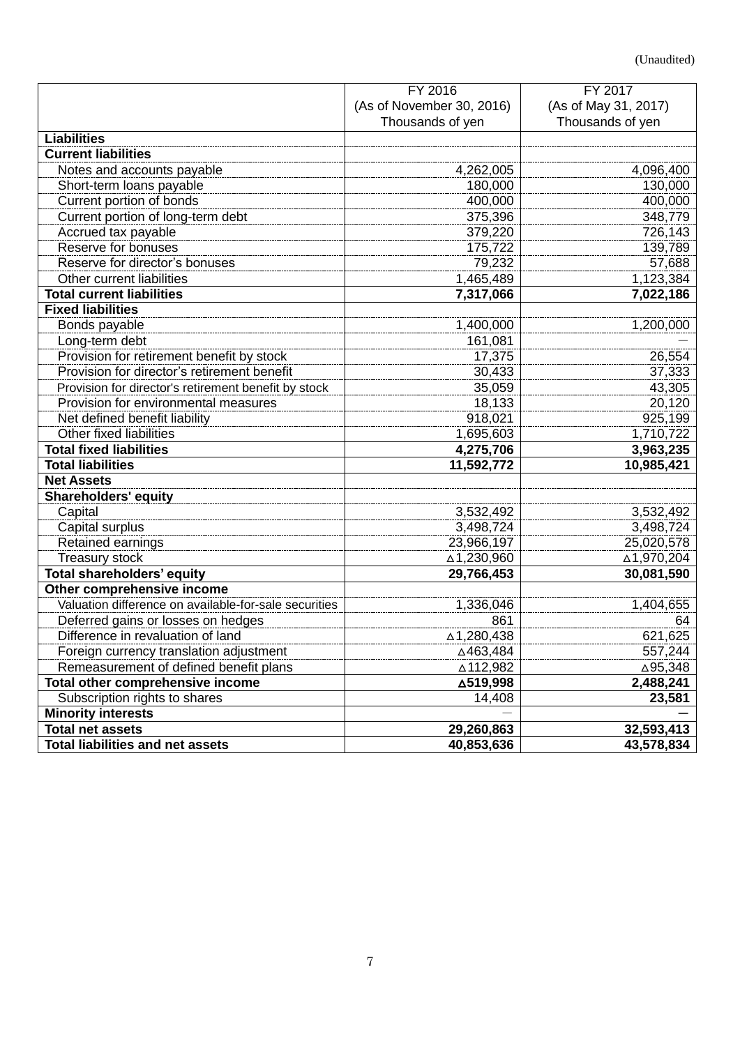|                                                       | FY 2016                   | FY 2017              |
|-------------------------------------------------------|---------------------------|----------------------|
|                                                       | (As of November 30, 2016) | (As of May 31, 2017) |
|                                                       | Thousands of yen          | Thousands of yen     |
| <b>Liabilities</b>                                    |                           |                      |
| <b>Current liabilities</b>                            |                           |                      |
| Notes and accounts payable                            | 4,262,005                 | 4,096,400            |
| Short-term loans payable                              | 180,000                   | 130,000              |
| Current portion of bonds                              | 400,000                   | 400,000              |
| Current portion of long-term debt                     | 375,396                   | 348,779              |
| Accrued tax payable                                   | 379,220                   | 726,143              |
| Reserve for bonuses                                   | 175,722                   | 139,789              |
| Reserve for director's bonuses                        | 79,232                    | 57,688               |
| Other current liabilities                             | 1,465,489                 | 1,123,384            |
| <b>Total current liabilities</b>                      | 7,317,066                 | 7,022,186            |
| <b>Fixed liabilities</b>                              |                           |                      |
| Bonds payable                                         | 1,400,000                 | 1,200,000            |
| Long-term debt                                        | 161,081                   |                      |
| Provision for retirement benefit by stock             | 17,375                    | 26,554               |
| Provision for director's retirement benefit           | 30,433                    | 37,333               |
| Provision for director's retirement benefit by stock  | 35,059                    | 43,305               |
| Provision for environmental measures                  | 18,133                    | 20,120               |
| Net defined benefit liability                         | 918,021                   | 925,199              |
| Other fixed liabilities                               | 1,695,603                 | 1,710,722            |
| <b>Total fixed liabilities</b>                        | 4,275,706                 | 3,963,235            |
| <b>Total liabilities</b>                              | 11,592,772                | 10,985,421           |
| <b>Net Assets</b>                                     |                           |                      |
| <b>Shareholders' equity</b>                           |                           |                      |
| Capital                                               | 3,532,492                 | 3,532,492            |
| Capital surplus                                       | 3,498,724                 | 3,498,724            |
| Retained earnings                                     | 23,966,197                | 25,020,578           |
| <b>Treasury stock</b>                                 | △1,230,960                | ∆1,970,204           |
| <b>Total shareholders' equity</b>                     | 29,766,453                | 30,081,590           |
| Other comprehensive income                            |                           |                      |
| Valuation difference on available-for-sale securities | 1,336,046                 | 1,404,655            |
| Deferred gains or losses on hedges                    | 861                       | 64                   |
| Difference in revaluation of land                     | △1,280,438                | 621,625              |
| Foreign currency translation adjustment               | △463,484                  | 557,244              |
| Remeasurement of defined benefit plans                | ∆112,982                  | △95,348              |
| Total other comprehensive income                      | ∆519,998                  | 2,488,241            |
| Subscription rights to shares                         | 14,408                    | 23,581               |
| <b>Minority interests</b>                             |                           |                      |
| <b>Total net assets</b>                               | 29,260,863                | 32,593,413           |
| <b>Total liabilities and net assets</b>               | 40,853,636                | 43,578,834           |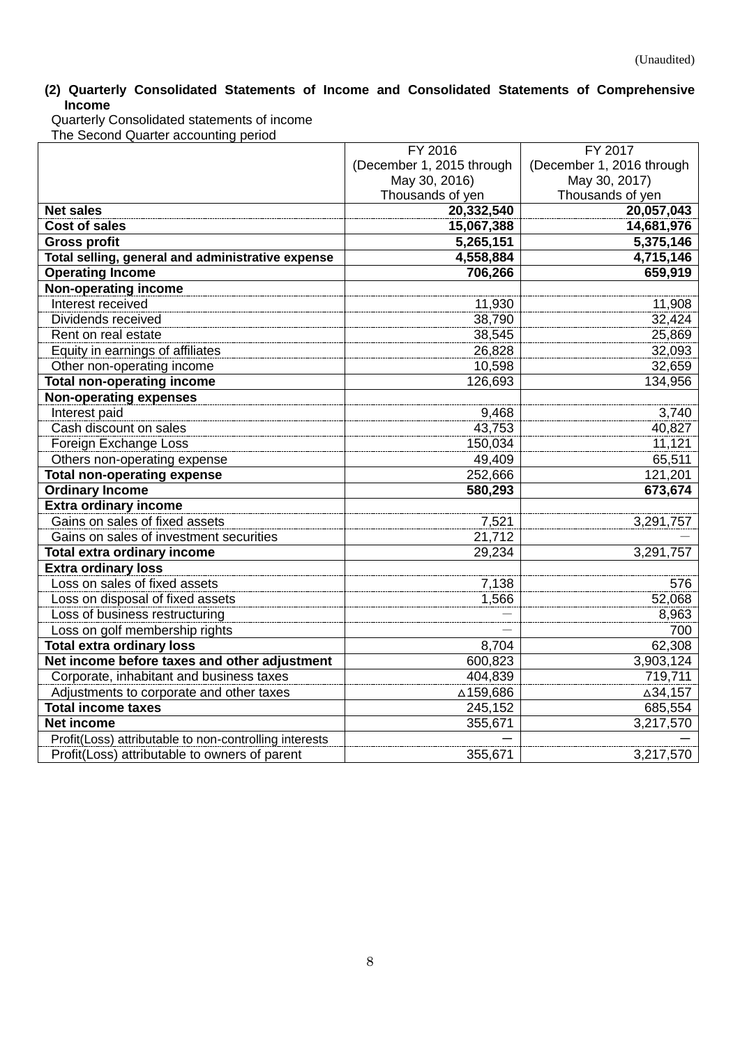## <span id="page-7-0"></span>**(2) Quarterly Consolidated Statements of Income and Consolidated Statements of Comprehensive Income**

Quarterly Consolidated statements of income The Second Quarter accounting period

|                                                        | FY 2016                   | FY 2017                   |
|--------------------------------------------------------|---------------------------|---------------------------|
|                                                        | (December 1, 2015 through | (December 1, 2016 through |
|                                                        | May 30, 2016)             | May 30, 2017)             |
|                                                        | Thousands of yen          | Thousands of yen          |
| <b>Net sales</b>                                       | 20,332,540                | 20,057,043                |
| <b>Cost of sales</b>                                   | 15,067,388                | 14,681,976                |
| <b>Gross profit</b>                                    | 5,265,151                 | 5,375,146                 |
| Total selling, general and administrative expense      | 4,558,884                 | 4,715,146                 |
| <b>Operating Income</b>                                | 706,266                   | 659,919                   |
| <b>Non-operating income</b>                            |                           |                           |
| Interest received                                      | 11,930                    | 11,908                    |
| Dividends received                                     | 38,790                    | 32,424                    |
| Rent on real estate                                    | 38,545                    | 25,869                    |
| Equity in earnings of affiliates                       | 26,828                    | 32,093                    |
| Other non-operating income                             | 10,598                    | 32,659                    |
| <b>Total non-operating income</b>                      | 126,693                   | 134,956                   |
| <b>Non-operating expenses</b>                          |                           |                           |
| Interest paid                                          | 9,468                     | 3,740                     |
| Cash discount on sales                                 | 43,753                    | 40,827                    |
| Foreign Exchange Loss                                  | 150,034                   | 11,121                    |
| Others non-operating expense                           | 49,409                    | 65,511                    |
| <b>Total non-operating expense</b>                     | 252,666                   | 121,201                   |
| <b>Ordinary Income</b>                                 | 580,293                   | 673,674                   |
| <b>Extra ordinary income</b>                           |                           |                           |
| Gains on sales of fixed assets                         | 7,521                     | 3,291,757                 |
| Gains on sales of investment securities                | 21,712                    |                           |
| <b>Total extra ordinary income</b>                     | 29,234                    | 3,291,757                 |
| <b>Extra ordinary loss</b>                             |                           |                           |
| Loss on sales of fixed assets                          | 7,138                     | 576                       |
| Loss on disposal of fixed assets                       | 1,566                     | 52,068                    |
| Loss of business restructuring                         |                           | 8,963                     |
| Loss on golf membership rights                         |                           | 700                       |
| <b>Total extra ordinary loss</b>                       | 8,704                     | 62,308                    |
| Net income before taxes and other adjustment           | 600,823                   | 3,903,124                 |
| Corporate, inhabitant and business taxes               | 404,839                   | 719,711                   |
| Adjustments to corporate and other taxes               | △159,686                  | △34,157                   |
| <b>Total income taxes</b>                              | 245,152                   | 685,554                   |
| <b>Net income</b>                                      | 355,671                   | 3,217,570                 |
| Profit(Loss) attributable to non-controlling interests |                           |                           |
| Profit(Loss) attributable to owners of parent          | 355,671                   | 3,217,570                 |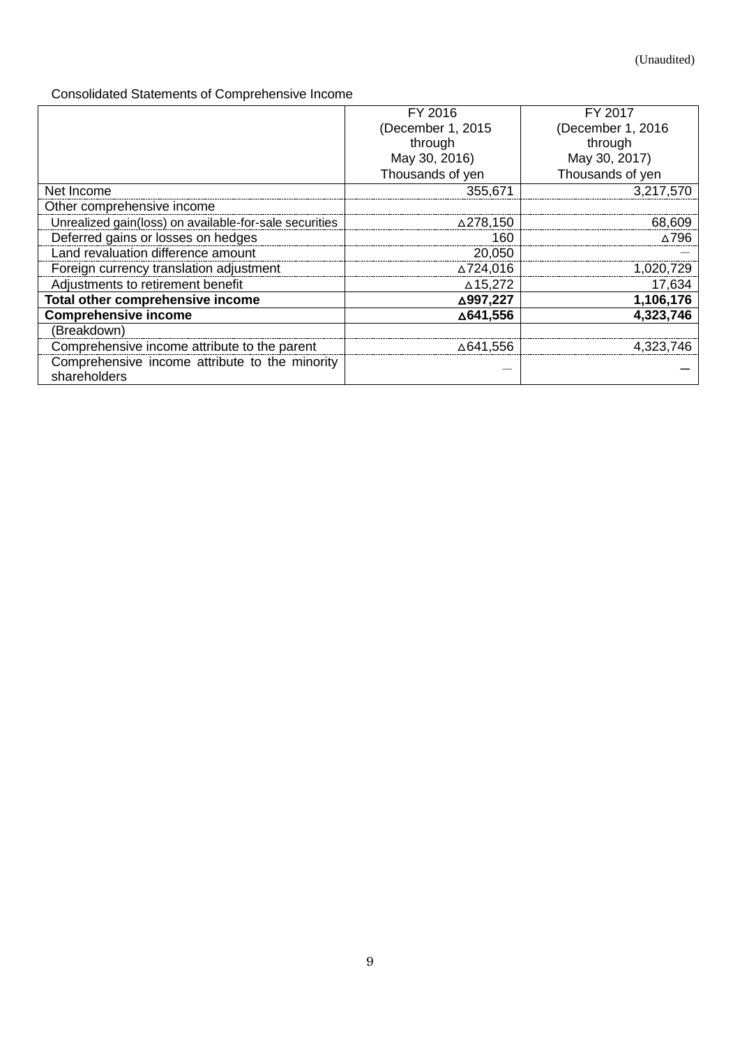# Consolidated Statements of Comprehensive Income

|                                                                | FY 2016           | FY 2017           |
|----------------------------------------------------------------|-------------------|-------------------|
|                                                                | (December 1, 2015 | (December 1, 2016 |
|                                                                | through           | through           |
|                                                                | May 30, 2016)     | May 30, 2017)     |
|                                                                | Thousands of yen  | Thousands of yen  |
| Net Income                                                     | 355,671           | 3,217,570         |
| Other comprehensive income                                     |                   |                   |
| Unrealized gain(loss) on available-for-sale securities         | ∆278,150          | 68,609            |
| Deferred gains or losses on hedges                             | 160               | ∧796              |
| Land revaluation difference amount                             | 20,050            |                   |
| Foreign currency translation adjustment                        | ∆724,016          | 1,020,729         |
| Adjustments to retirement benefit                              | △15,272           | 17,634            |
| Total other comprehensive income                               | △997,227          | 1,106,176         |
| <b>Comprehensive income</b>                                    | △641,556          | 4,323,746         |
| (Breakdown)                                                    |                   |                   |
| Comprehensive income attribute to the parent                   | ∆641,556          | 4,323,746         |
| Comprehensive income attribute to the minority<br>shareholders |                   |                   |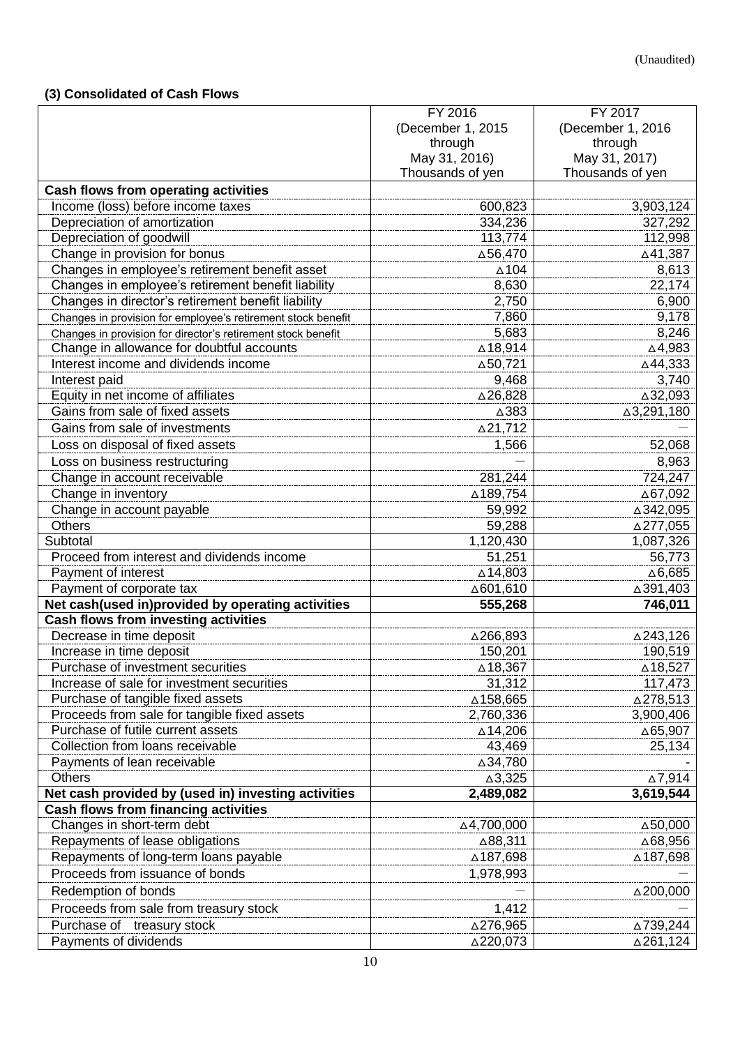# <span id="page-9-0"></span>**(3) Consolidated of Cash Flows**

|                                                              | FY 2016                                | FY 2017          |
|--------------------------------------------------------------|----------------------------------------|------------------|
|                                                              | (December 1, 2015<br>(December 1, 2016 |                  |
|                                                              | through                                | through          |
|                                                              | May 31, 2016)                          | May 31, 2017)    |
|                                                              | Thousands of yen                       | Thousands of yen |
| Cash flows from operating activities                         |                                        |                  |
| Income (loss) before income taxes                            | 600,823                                | 3,903,124        |
| Depreciation of amortization                                 | 334,236                                | 327,292          |
| Depreciation of goodwill                                     | 113,774                                | 112,998          |
| Change in provision for bonus                                | △56,470                                | △41,387          |
| Changes in employee's retirement benefit asset               | $\triangle$ 104                        | 8,613            |
| Changes in employee's retirement benefit liability           | 8,630                                  | 22,174           |
| Changes in director's retirement benefit liability           | 2,750                                  | 6,900            |
| Changes in provision for employee's retirement stock benefit | 7,860                                  | 9,178            |
| Changes in provision for director's retirement stock benefit | 5,683                                  | 8,246            |
| Change in allowance for doubtful accounts                    | ∆18,914                                | △4,983           |
| Interest income and dividends income                         | △50,721                                | △44,333          |
| Interest paid                                                | 9,468                                  | 3,740            |
| Equity in net income of affiliates                           | △26,828                                | △32,093          |
| Gains from sale of fixed assets                              | △383                                   | △3,291,180       |
| Gains from sale of investments                               | △21,712                                |                  |
|                                                              |                                        |                  |
| Loss on disposal of fixed assets                             | 1,566                                  | 52,068           |
| Loss on business restructuring                               |                                        | 8,963            |
| Change in account receivable                                 | 281,244                                | 724,247          |
| Change in inventory                                          | △189,754                               | △67,092          |
| Change in account payable                                    | 59,992                                 | △342,095         |
| <b>Others</b>                                                | 59,288                                 | △277,055         |
| Subtotal                                                     | 1,120,430                              | 1,087,326        |
| Proceed from interest and dividends income                   | 51,251                                 | 56,773           |
| Payment of interest                                          | $\triangle$ 14,803                     | △6,685           |
| Payment of corporate tax                                     | △601,610                               | △391,403         |
| Net cash(used in)provided by operating activities            | 555,268                                | 746,011          |
| <b>Cash flows from investing activities</b>                  |                                        |                  |
| Decrease in time deposit                                     | △266,893                               | △243,126         |
| Increase in time deposit                                     | 150,201                                | 190,519          |
| Purchase of investment securities                            | ∆18,367                                | ∆18,527          |
| Increase of sale for investment securities                   | 31,312                                 | 117,473          |
| Purchase of tangible fixed assets                            | △158,665                               | △278,513         |
| Proceeds from sale for tangible fixed assets                 | 2,760,336                              | 3,900,406        |
| Purchase of futile current assets                            | ∆14,206                                | △65,907          |
| Collection from loans receivable                             | 43,469                                 | 25,134           |
| Payments of lean receivable                                  | △34,780                                |                  |
| <b>Others</b>                                                | $\Delta 3,325$                         | ∆7,914           |
| Net cash provided by (used in) investing activities          | 2,489,082                              | 3,619,544        |
| <b>Cash flows from financing activities</b>                  |                                        |                  |
| Changes in short-term debt                                   | △4,700,000                             | △50,000          |
| Repayments of lease obligations                              | ∆88,311                                | ∆68,956          |
| Repayments of long-term loans payable                        | ∆187,698                               | ∆187,698         |
| Proceeds from issuance of bonds                              | 1,978,993                              |                  |
| Redemption of bonds                                          |                                        | △200,000         |
| Proceeds from sale from treasury stock                       | 1,412                                  |                  |
| Purchase of treasury stock                                   | △276,965                               | ∆739,244         |
| Payments of dividends                                        | △220,073                               | ∆261,124         |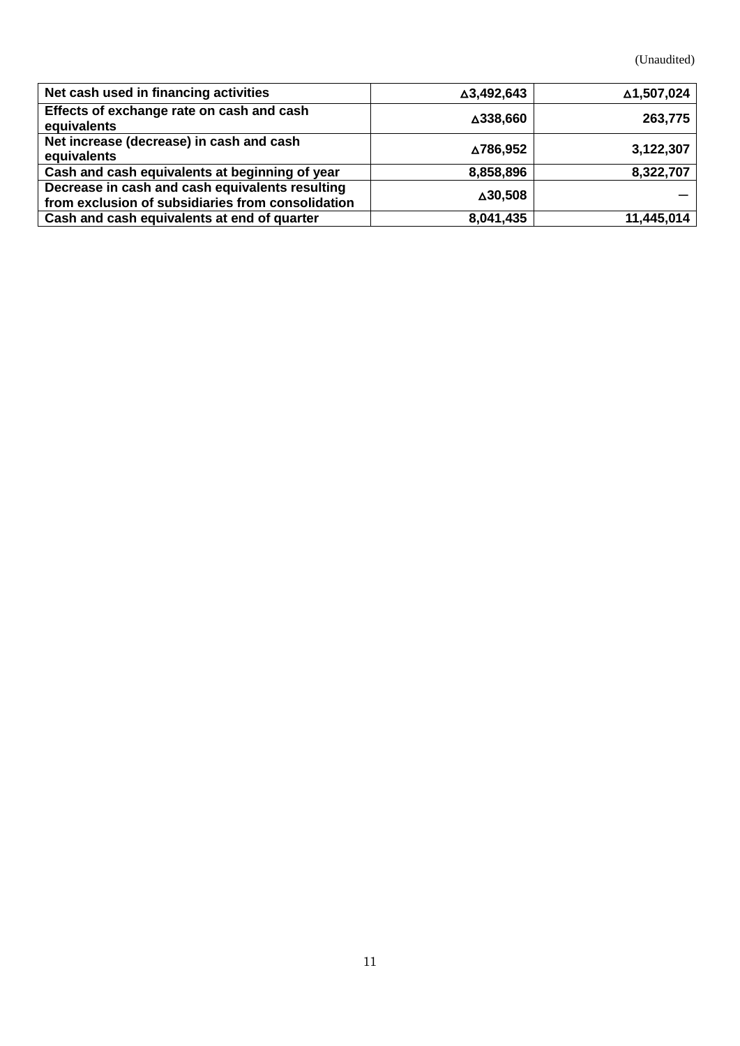(Unaudited)

| Net cash used in financing activities                                                                | △3,492,643 | ∆1,507,024 |
|------------------------------------------------------------------------------------------------------|------------|------------|
| Effects of exchange rate on cash and cash<br>equivalents                                             | △338,660   | 263,775    |
| Net increase (decrease) in cash and cash<br>equivalents                                              | ∆786,952   | 3,122,307  |
| Cash and cash equivalents at beginning of year                                                       | 8,858,896  | 8,322,707  |
| Decrease in cash and cash equivalents resulting<br>from exclusion of subsidiaries from consolidation | △30,508    |            |
| Cash and cash equivalents at end of quarter                                                          | 8,041,435  | 11,445,014 |